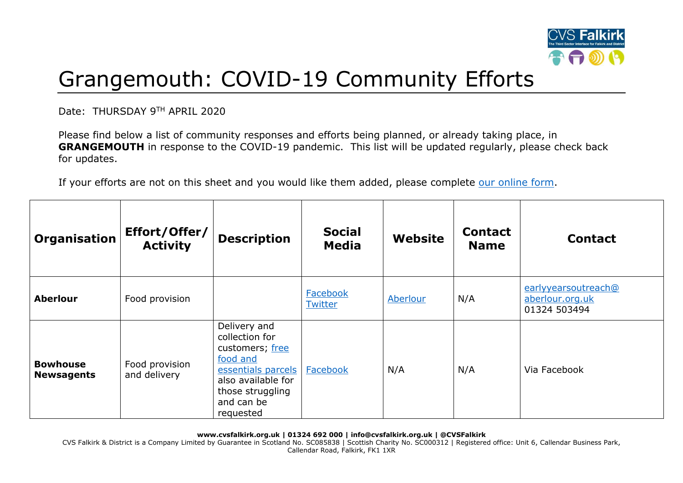

## Grangemouth: COVID-19 Community Efforts

Date: THURSDAY 9TH APRIL 2020

Please find below a list of community responses and efforts being planned, or already taking place, in **GRANGEMOUTH** in response to the COVID-19 pandemic. This list will be updated regularly, please check back for updates.

If your efforts are not on this sheet and you would like them added, please complete [our online form.](https://forms.office.com/Pages/ResponsePage.aspx?id=6VEZaLCW4EefTnjqs1GaupRwm5MIeS1HoQIx_4VQsBJUODFFNjQ4S0YzN0tIODdPOUJWTTJFNkg2QS4u)

| Organisation                         | Effort/Offer/<br><b>Activity</b> | <b>Description</b>                                                                                                                                       | <b>Social</b><br><b>Media</b> | Website  | <b>Contact</b><br><b>Name</b> | <b>Contact</b>                                         |
|--------------------------------------|----------------------------------|----------------------------------------------------------------------------------------------------------------------------------------------------------|-------------------------------|----------|-------------------------------|--------------------------------------------------------|
| <b>Aberlour</b>                      | Food provision                   |                                                                                                                                                          | Facebook<br>Twitter           | Aberlour | N/A                           | earlyyearsoutreach@<br>aberlour.org.uk<br>01324 503494 |
| <b>Bowhouse</b><br><b>Newsagents</b> | Food provision<br>and delivery   | Delivery and<br>collection for<br>customers; free<br>food and<br>essentials parcels<br>also available for<br>those struggling<br>and can be<br>requested | Facebook                      | N/A      | N/A                           | Via Facebook                                           |

**www.cvsfalkirk.org.uk | 01324 692 000 | info@cvsfalkirk.org.uk | @CVSFalkirk**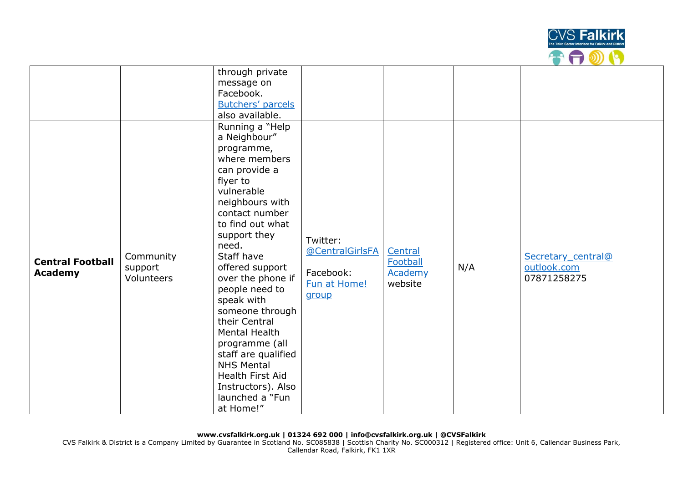

|                                           |                                           | through private<br>message on<br>Facebook.<br><b>Butchers' parcels</b><br>also available.                                                                                                                                                                                                                                                                                                                                                                                      |                                                                   |                                           |     |                                                  |
|-------------------------------------------|-------------------------------------------|--------------------------------------------------------------------------------------------------------------------------------------------------------------------------------------------------------------------------------------------------------------------------------------------------------------------------------------------------------------------------------------------------------------------------------------------------------------------------------|-------------------------------------------------------------------|-------------------------------------------|-----|--------------------------------------------------|
| <b>Central Football</b><br><b>Academy</b> | Community<br>support<br><b>Volunteers</b> | Running a "Help<br>a Neighbour"<br>programme,<br>where members<br>can provide a<br>flyer to<br>vulnerable<br>neighbours with<br>contact number<br>to find out what<br>support they<br>need.<br>Staff have<br>offered support<br>over the phone if<br>people need to<br>speak with<br>someone through<br>their Central<br>Mental Health<br>programme (all<br>staff are qualified<br><b>NHS Mental</b><br>Health First Aid<br>Instructors). Also<br>launched a "Fun<br>at Home!" | Twitter:<br>@CentralGirlsFA<br>Facebook:<br>Fun at Home!<br>group | Central<br>Football<br>Academy<br>website | N/A | Secretary central@<br>outlook.com<br>07871258275 |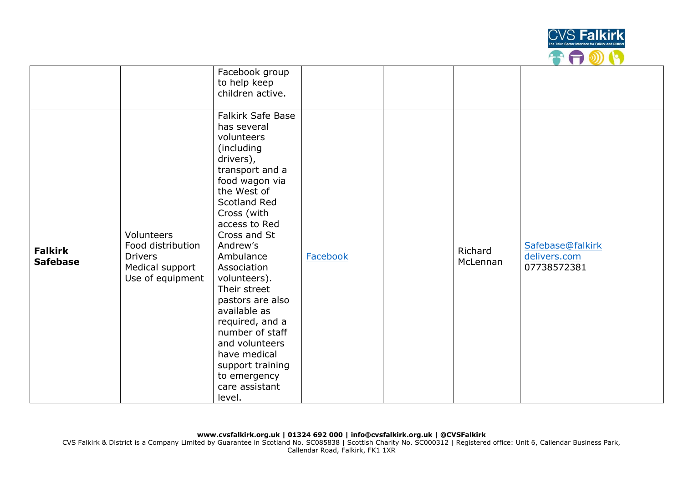

|                                   |                                                                                          | Facebook group<br>to help keep<br>children active.                                                                                                                                                                                                                                                                                                                                                                                                       |          |                     |                                                 |
|-----------------------------------|------------------------------------------------------------------------------------------|----------------------------------------------------------------------------------------------------------------------------------------------------------------------------------------------------------------------------------------------------------------------------------------------------------------------------------------------------------------------------------------------------------------------------------------------------------|----------|---------------------|-------------------------------------------------|
| <b>Falkirk</b><br><b>Safebase</b> | Volunteers<br>Food distribution<br><b>Drivers</b><br>Medical support<br>Use of equipment | <b>Falkirk Safe Base</b><br>has several<br>volunteers<br>(including<br>drivers),<br>transport and a<br>food wagon via<br>the West of<br>Scotland Red<br>Cross (with<br>access to Red<br>Cross and St<br>Andrew's<br>Ambulance<br>Association<br>volunteers).<br>Their street<br>pastors are also<br>available as<br>required, and a<br>number of staff<br>and volunteers<br>have medical<br>support training<br>to emergency<br>care assistant<br>level. | Facebook | Richard<br>McLennan | Safebase@falkirk<br>delivers.com<br>07738572381 |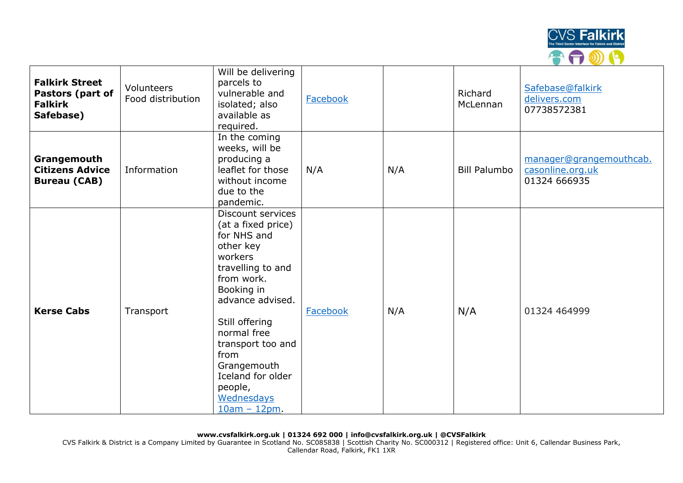

| <b>Falkirk Street</b><br>Pastors (part of<br><b>Falkirk</b><br>Safebase) | Volunteers<br>Food distribution | Will be delivering<br>parcels to<br>vulnerable and<br>isolated; also<br>available as<br>required.                                                                                                                                                                                               | Facebook |     | Richard<br>McLennan | Safebase@falkirk<br>delivers.com<br>07738572381             |
|--------------------------------------------------------------------------|---------------------------------|-------------------------------------------------------------------------------------------------------------------------------------------------------------------------------------------------------------------------------------------------------------------------------------------------|----------|-----|---------------------|-------------------------------------------------------------|
| Grangemouth<br><b>Citizens Advice</b><br><b>Bureau (CAB)</b>             | Information                     | In the coming<br>weeks, will be<br>producing a<br>leaflet for those<br>without income<br>due to the<br>pandemic.                                                                                                                                                                                | N/A      | N/A | <b>Bill Palumbo</b> | manager@grangemouthcab.<br>casonline.org.uk<br>01324 666935 |
| <b>Kerse Cabs</b>                                                        | Transport                       | Discount services<br>(at a fixed price)<br>for NHS and<br>other key<br>workers<br>travelling to and<br>from work.<br>Booking in<br>advance advised.<br>Still offering<br>normal free<br>transport too and<br>from<br>Grangemouth<br>Iceland for older<br>people,<br>Wednesdays<br>$10am - 12pm$ | Facebook | N/A | N/A                 | 01324 464999                                                |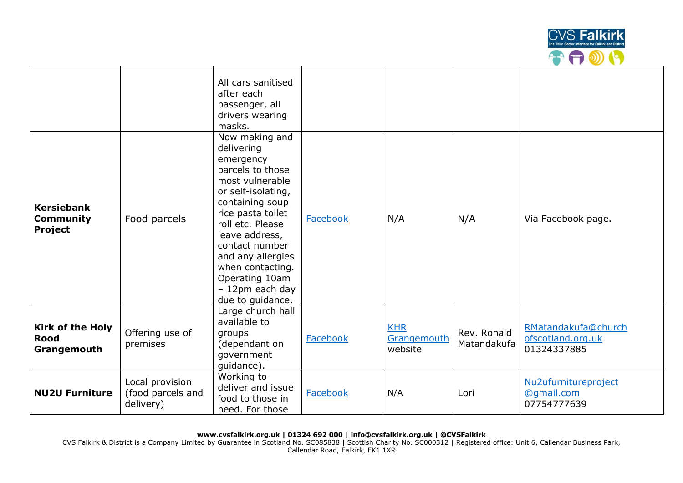

|                                                         |                                                   | All cars sanitised<br>after each<br>passenger, all<br>drivers wearing<br>masks.                                                                                                                                                                                                                          |          |                                      |                            |                                                         |
|---------------------------------------------------------|---------------------------------------------------|----------------------------------------------------------------------------------------------------------------------------------------------------------------------------------------------------------------------------------------------------------------------------------------------------------|----------|--------------------------------------|----------------------------|---------------------------------------------------------|
| <b>Kersiebank</b><br><b>Community</b><br><b>Project</b> | Food parcels                                      | Now making and<br>delivering<br>emergency<br>parcels to those<br>most vulnerable<br>or self-isolating,<br>containing soup<br>rice pasta toilet<br>roll etc. Please<br>leave address,<br>contact number<br>and any allergies<br>when contacting.<br>Operating 10am<br>- 12pm each day<br>due to guidance. | Facebook | N/A                                  | N/A                        | Via Facebook page.                                      |
| <b>Kirk of the Holy</b><br><b>Rood</b><br>Grangemouth   | Offering use of<br>premises                       | Large church hall<br>available to<br>groups<br>(dependant on<br>government<br>guidance).                                                                                                                                                                                                                 | Facebook | <b>KHR</b><br>Grangemouth<br>website | Rev. Ronald<br>Matandakufa | RMatandakufa@church<br>ofscotland.org.uk<br>01324337885 |
| <b>NU2U Furniture</b>                                   | Local provision<br>(food parcels and<br>delivery) | Working to<br>deliver and issue<br>food to those in<br>need. For those                                                                                                                                                                                                                                   | Facebook | N/A                                  | Lori                       | Nu2ufurnitureproject<br>@qmail.com<br>07754777639       |

**www.cvsfalkirk.org.uk | 01324 692 000 | info@cvsfalkirk.org.uk | @CVSFalkirk**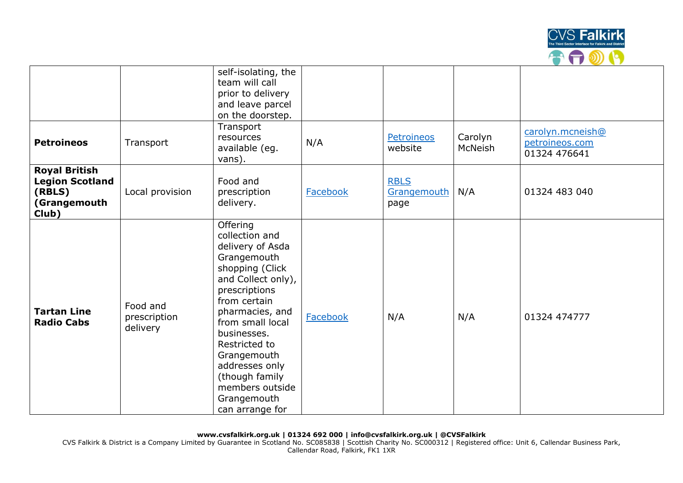

|                                                                                   |                                      | self-isolating, the<br>team will call<br>prior to delivery<br>and leave parcel<br>on the doorstep.                                                                                                                                                                                                                     |                 |                                    |                    |                                                    |
|-----------------------------------------------------------------------------------|--------------------------------------|------------------------------------------------------------------------------------------------------------------------------------------------------------------------------------------------------------------------------------------------------------------------------------------------------------------------|-----------------|------------------------------------|--------------------|----------------------------------------------------|
| <b>Petroineos</b>                                                                 | Transport                            | Transport<br>resources<br>available (eg.<br>vans).                                                                                                                                                                                                                                                                     | N/A             | <b>Petroineos</b><br>website       | Carolyn<br>McNeish | carolyn.mcneish@<br>petroineos.com<br>01324 476641 |
| <b>Royal British</b><br><b>Legion Scotland</b><br>(RBLS)<br>(Grangemouth<br>Club) | Local provision                      | Food and<br>prescription<br>delivery.                                                                                                                                                                                                                                                                                  | Facebook        | <b>RBLS</b><br>Grangemouth<br>page | N/A                | 01324 483 040                                      |
| <b>Tartan Line</b><br><b>Radio Cabs</b>                                           | Food and<br>prescription<br>delivery | Offering<br>collection and<br>delivery of Asda<br>Grangemouth<br>shopping (Click<br>and Collect only),<br>prescriptions<br>from certain<br>pharmacies, and<br>from small local<br>businesses.<br>Restricted to<br>Grangemouth<br>addresses only<br>(though family<br>members outside<br>Grangemouth<br>can arrange for | <b>Facebook</b> | N/A                                | N/A                | 01324 474777                                       |

**www.cvsfalkirk.org.uk | 01324 692 000 | info@cvsfalkirk.org.uk | @CVSFalkirk**